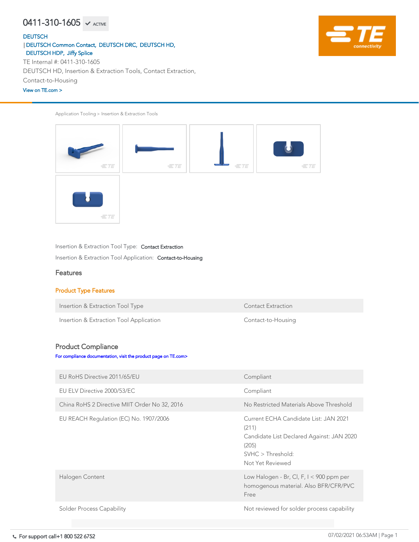# $0411 - 310 - 1605$   $\checkmark$  active

#### **[DEUTSCH](https://www.te.com/usa-en/plp/Zn9b.html)**

Application Tooling > Insertion & Extraction Tools



Insertion & Extraction Tool Type: Contact Extraction

Insertion & Extraction Tool Application: Contact-to-Housing

#### Features

#### Product Type Features

Insertion & Extraction Tool Type Contact Extraction



Insertion & Extraction Tool Application **Contact-to-Housing** 

### Product Compliance

[For compliance documentation, visit the product page on TE.com>](https://www.te.com/usa-en/product-0411-310-1605.html)

| EU RoHS Directive 2011/65/EU                  | Compliant                                                                                                                                     |
|-----------------------------------------------|-----------------------------------------------------------------------------------------------------------------------------------------------|
| EU ELV Directive 2000/53/EC                   | Compliant                                                                                                                                     |
| China RoHS 2 Directive MIIT Order No 32, 2016 | No Restricted Materials Above Threshold                                                                                                       |
| EU REACH Regulation (EC) No. 1907/2006        | Current ECHA Candidate List: JAN 2021<br>(211)<br>Candidate List Declared Against: JAN 2020<br>(205)<br>SVHC > Threshold:<br>Not Yet Reviewed |
| Halogen Content                               | Low Halogen - Br, Cl, F, $I < 900$ ppm per<br>homogenous material. Also BFR/CFR/PVC<br>Free                                                   |
| <b>Solder Process Capability</b>              | Not reviewed for solder process capability                                                                                                    |

DEUTSCH HD, Insertion & Extraction Tools, Contact Extraction,

Contact-to-Housing

TE Internal #: 0411-310-1605 [DEUTSCH Common Contact,](https://www.te.com/usa-en/plp/X27xk.html) [DEUTSCH DRC,](https://www.te.com/usa-en/plp/X27Kz.html) [DEUTSCH HD,](https://www.te.com/usa-en/plp/X25z9.html) |[DEUTSCH HDP,](https://www.te.com/usa-en/plp/X27G3.html) [Jiffy Splice](https://www.te.com/usa-en/plp/X27xo.html)

#### [View on TE.com >](https://www.te.com/usa-en/product-0411-310-1605.html)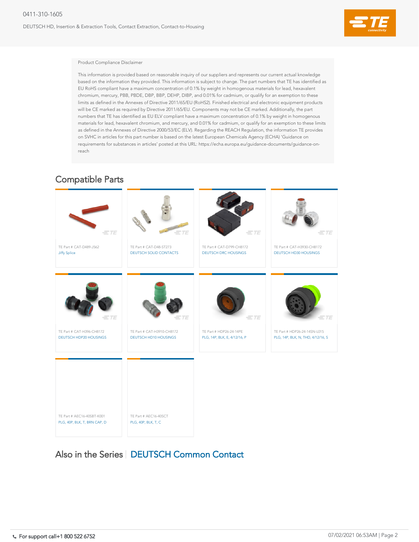DEUTSCH HD, Insertion & Extraction Tools, Contact Extraction, Contact-to-Housing



#### Product Compliance Disclaimer

This information is provided based on reasonable inquiry of our suppliers and represents our current actual knowledge based on the information they provided. This information is subject to change. The part numbers that TE has identified as EU RoHS compliant have a maximum concentration of 0.1% by weight in homogenous materials for lead, hexavalent chromium, mercury, PBB, PBDE, DBP, BBP, DEHP, DIBP, and 0.01% for cadmium, or qualify for an exemption to these limits as defined in the Annexes of Directive 2011/65/EU (RoHS2). Finished electrical and electronic equipment products will be CE marked as required by Directive 2011/65/EU. Components may not be CE marked. Additionally, the part numbers that TE has identified as EU ELV compliant have a maximum concentration of 0.1% by weight in homogenous materials for lead, hexavalent chromium, and mercury, and 0.01% for cadmium, or qualify for an exemption to these limits as defined in the Annexes of Directive 2000/53/EC (ELV). Regarding the REACH Regulation, the information TE provides on SVHC in articles for this part number is based on the latest European Chemicals Agency (ECHA) 'Guidance on requirements for substances in articles' posted at this URL: https://echa.europa.eu/guidance-documents/guidance-onreach

# TE Part # AEC16-40SCT [PLG, 40P, BLK, T, C](https://www.te.com/usa-en/product-AEC16-40SCT.html) TE Part # AEC16-40SBT-K001 [PLG, 40P, BLK, T, BRN CAP, D](https://www.te.com/usa-en/product-AEC16-40SBT-K001.html)

### Also in the Series | [DEUTSCH Common Contact](https://www.te.com/usa-en/plp/X27xk.html)

| $\equiv$ TE                                                | $=$ TE                                                     | $=$ TE                                                  | $=$ TE                                                            |
|------------------------------------------------------------|------------------------------------------------------------|---------------------------------------------------------|-------------------------------------------------------------------|
| TE Part # CAT-H396-CH8172<br><b>DEUTSCH HDP20 HOUSINGS</b> | TE Part # CAT-H3910-CH8172<br><b>DEUTSCH HD10 HOUSINGS</b> | TE Part # HDP26-24-14PE<br>PLG, 14P, BLK, E, 4/12/16, P | TE Part # HDP26-24-14SN-L015<br>PLG, 14P, BLK, N, THD, 4/12/16, S |
|                                                            |                                                            |                                                         |                                                                   |
|                                                            |                                                            |                                                         |                                                                   |



### Compatible Parts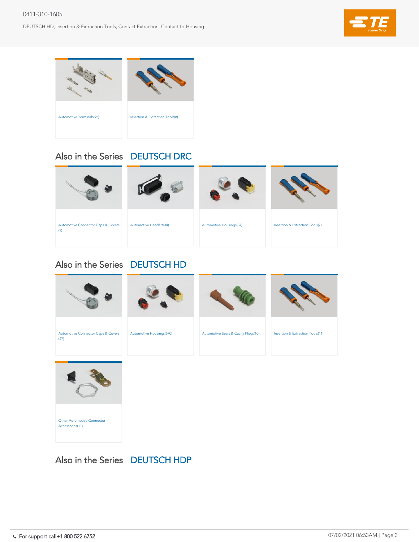#### 0411-310-1605

DEUTSCH HD, Insertion & Extraction Tools, Contact Extraction, Contact-to-Housing





### Also in the Series | [DEUTSCH HDP](https://www.te.com/usa-en/plp/X27G3.html)

| <b>Automotive Connector Caps &amp; Covers</b><br>(47) | <b>Automotive Housings(670)</b> | <b>Automotive Seals &amp; Cavity Plugs(10)</b> | <b>Insertion &amp; Extraction Tools(11)</b> |
|-------------------------------------------------------|---------------------------------|------------------------------------------------|---------------------------------------------|



# Also in the Series | [DEUTSCH HD](https://www.te.com/usa-en/plp/X25z9.html)





# Also in the Series | [DEUTSCH DRC](https://www.te.com/usa-en/plp/X27Kz.html)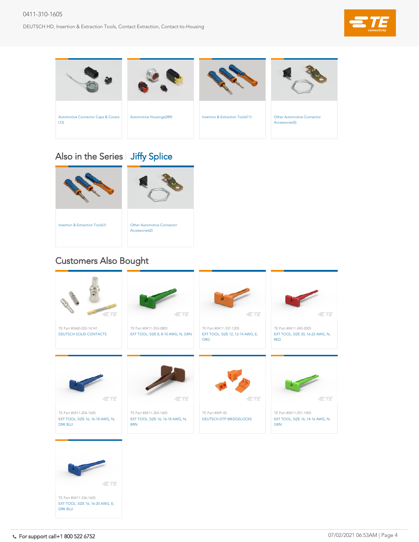#### 0411-310-1605

DEUTSCH HD, Insertion & Extraction Tools, Contact Extraction, Contact-to-Housing











# Also in the Series | [Jiffy Splice](https://www.te.com/usa-en/plp/X27xo.html)

# Customers Also Bought